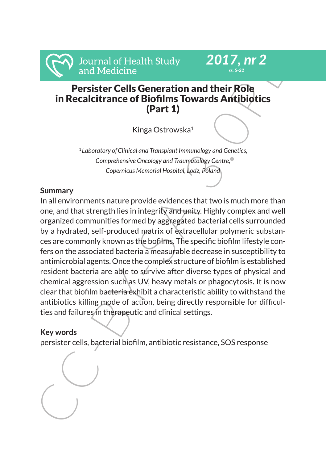# *ss. 5-22* Persister Cells Generation and their Role in Recalcitrance of Biofilms Towards Antibiotics (Part 1)

*2017, nr 2*

Kinga Ostrowska1

<sup>1</sup> *Laboratory ofClinical and Transplant Immunology and Genetics, Comprehensive Oncology and Traumatology Centre, Copernicus Memorial Hospital, Lodz, Poland*

# **Summary**

Journal of Health Study<br>
Persister Cells Generation and their Role<br>
in Recalcitrance of Biofilms Towards Antibiotics<br>
in Recalcitrance of Biofilms Towards Antibiotics<br>
(Part 1)<br>
Kinga Ostrowska<sup>1</sup><br>
'*tabontory of Clinical* In all environments nature provide evidences that two is much more than one, and that strength lies in integrity and unity. Highly complex and well organized communities formed by aggregated bacterial cells surrounded by a hydrated, self-produced matrix of extracellular polymeric substances are commonly known as the bofilms. The specific biofilm lifestyle confers on the associated bacteria a measurable decrease in susceptibility to antimicrobial agents. Once the complex structure of biofilm is established resident bacteria are able to survive after diverse types of physical and chemical aggression such as UV, heavy metals or phagocytosis. It is now clear that biofilm bacteria exhibit a characteristic ability to withstand the antibiotics killing mode of action, being directly responsible for difficulties and failures in therapeutic and clinical settings.

# **Key words**

persister cells, bacterial biofilm, antibiotic resistance, SOS response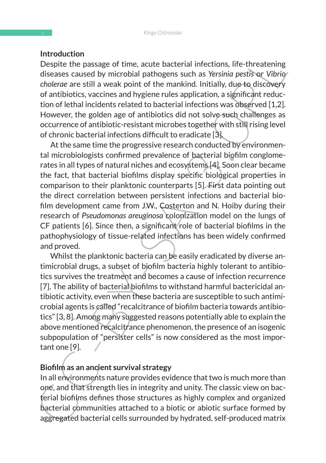#### **Introduction**

Despite the passage of time, acute bacterial infections, life-threatening diseases caused by microbial pathogens such as *Yersinia pestis* or *Vibrio cholerae* are still a weak point of the mankind. Initially, due to discovery of antibiotics, vaccines and hygiene rules application, a significant reduction of lethal incidents related to bacterial infections was observed [1,2]. However, the golden age of antibiotics did not solve such challenges as occurrence of antibiotic-resistant microbes together with still rising level of chronic bacterial infections difficult to eradicate [3].

Involution<br>In passage of time, acute bacterial infections, life-threatening<br>diseases caused by microbial pathogens such as *Yersinia* partise or Usiny<br>of chalcens are still a weak point of the mankind. Initially, due-to d At the same time the progressive research conducted by environmental microbiologists confirmed prevalence of bacterial biofilm conglomerates in all types of natural niches and ecosystems [4]. Soon clear became the fact, that bacterial biofilms display specific biological properties in comparison to their planktonic counterparts [5]. First data pointing out the direct correlation between persistent infections and bacterial biofilm development came from J.W., Costerton and N. Hoiby during their research of *Pseudomonas areuginosa* colonization model on the lungs of CF patients [6]. Since then, a significant role of bacterial biofilms in the pathophysiology of tissue-related infections has been widely confirmed and proved.

Whilst the planktonic bacteria can be easily eradicated by diverse antimicrobial drugs, a subset of biofilm bacteria highly tolerant to antibiotics survives the treatment and becomes a cause of infection recurrence [7]. The ability of bacterial biofilms to withstand harmful bactericidal antibiotic activity, even when these bacteria are susceptible to such antimicrobial agents is called "recalcitrance of biofilm bacteria towards antibiotics" [3, 8]. Among many suggested reasons potentially able to explain the above mentioned recalcitrance phenomenon, the presence of an isogenic subpopulation of "persister cells" is now considered as the most important one [9].

#### **Biofilm as an ancient survival strategy**

In all environments nature provides evidence that two is much more than one, and that strength lies in integrity and unity. The classic view on bacterial biofilms defines those structures as highly complex and organized bacterial communities attached to a biotic or abiotic surface formed by aggregated bacterial cells surrounded by hydrated, self-produced matrix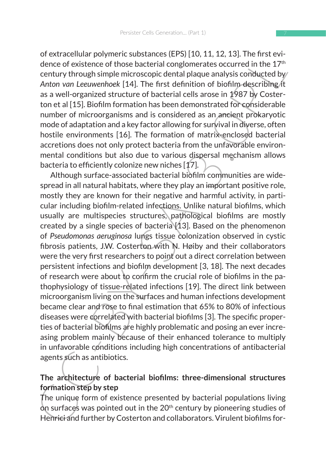of extracellular polymeric substances (EPS) [10, 11, 12, 13]. The first evidence of existence of those bacterial conglomerates occurred in the  $17<sup>th</sup>$ century through simple microscopic dental plaque analysis conducted by *Anton van Leeuwenhoek* [14]. The first definition of biofilm describing it as a well-organized structure of bacterial cells arose in 1987 by Costerton et al [15]. Biofilm formation has been demonstrated for considerable number of microorganisms and is considered as an ancient prokaryotic mode of adaptation and a key factor allowing for survival in diverse, often hostile environments [16]. The formation of matrix-enclosed bacterial accretions does not only protect bacteria from the unfavorable environmental conditions but also due to various dispersal mechanism allows bacteria to efficiently colonize new niches [17].

or extracted<br>and power to thos bacterial conglomerates occurred in the 17<sup>2</sup><br>denote desistence of those bacterial conglomerates occurred in the 17<sup>2</sup><br>century through simple microscopic dental plaque analysis conducted by<br>A Although surface-associated bacterial biofilm communities are widespread in all natural habitats, where they play an important positive role, mostly they are known for their negative and harmful activity, in particular including biofilm-related infections. Unlike natural biofilms, which usually are multispecies structures, pathological biofilms are mostly created by a single species of bacteria [13]. Based on the phenomenon of *Pseudomonas aeruginosa* lungs tissue colonization observed in cystic fibrosis patients, J.W. Costerton with N. Høiby and their collaborators were the very first researchers to point out a direct correlation between persistent infections and biofilm development [3, 18]. The next decades of research were about to confirm the crucial role of biofilms in the pathophysiology of tissue-related infections [19]. The direct link between microorganism living on the surfaces and human infections development became clear and rose to final estimation that 65% to 80% of infectious diseases were correlated with bacterial biofilms [3]. The specific properties of bacterial biofilms are highly problematic and posing an ever increasing problem mainly because of their enhanced tolerance to multiply in unfavorable conditions including high concentrations of antibacterial agents such as antibiotics.

### **The architecture of bacterial biofilms: three-dimensional structures formation step by step**

The unique form of existence presented by bacterial populations living on surfaces was pointed out in the  $20<sup>th</sup>$  century by pioneering studies of Henrici and further by Costerton and collaborators. Virulent biofilms for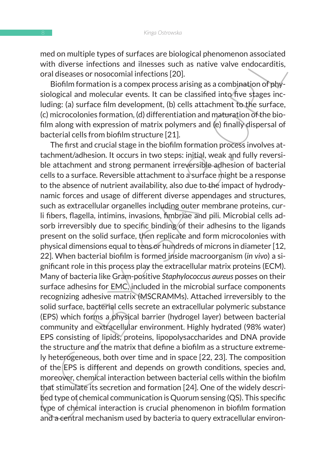med on multiple types of surfaces are biological phenomenon associated with diverse infections and ilnesses such as native valve endocarditis, oral diseases or nosocomial infections [20].

Biofilm formation is a compex process arising as a combination of physiological and molecular events. It can be classified into five stages including: (a) surface film development, (b) cells attachment to the surface, (c) microcolonies formation, (d) differentiation and maturation of the biofilm along with expression of matrix polymers and (e) finally dispersal of bacterial cells from biofilm structure [21].

meta on maturibue vipes on startes are nonogral pinelinential associated<br>with diverse inferctions and intersess such as native valve endoctaratitis,<br>oral diseases or nosocomial infections [20].<br>Sological and molecular even The first and crucial stage in the biofilm formation process involves attachment/adhesion. It occurs in two steps: initial, weak and fully reversible attachment and strong permanent irreversible adhesion of bacterial cells to a surface. Reversible attachment to a surface might be a response to the absence of nutrient availability, also due to the impact of hydrodynamic forces and usage of different diverse appendages and structures, such as extracellular organelles including outer membrane proteins, curli fibers, flagella, intimins, invasions, fimbriae and pili. Microbial cells adsorb irreversibly due to specific binding of their adhesins to the ligands present on the solid surface, then replicate and form microcolonies with physical dimensions equal to tens or hundreds of microns in diameter [12, 22]. When bacterial biofilm is formed inside macroorganism (*in vivo*) a significant role in this process play the extracellular matrix proteins (ECM). Many of bacteria like Gram-positive *Staphylococcus aureus* posses on their surface adhesins for EMC, included in the microbial surface components recognizing adhesive matrix (MSCRAMMs). Attached irreversibly to the solid surface, bacterial cells secrete an extracellular polymeric substance (EPS) which forms a physical barrier (hydrogel layer) between bacterial community and extracellular environment. Highly hydrated (98% water) EPS consisting of lipids, proteins, lipopolysaccharides and DNA provide the structure and the matrix that define a biofilm as a structure extremely heterogeneous, both over time and in space [22, 23]. The composition of the EPS is different and depends on growth conditions, species and, moreover, chemical interaction between bacterial cells within the biofilm that stimulate its secretion and formation [24]. One of the widely described type of chemical communication is Quorum sensing (QS). This specific type of chemical interaction is crucial phenomenon in biofilm formation and a central mechanism used by bacteria to query extracellular environ-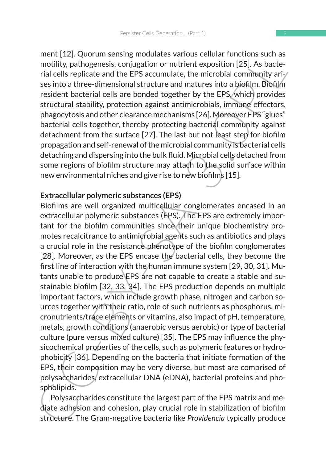ment [12]. Quorum sensing modulates various cellular functions such as motility, pathogenesis, conjugation or nutrient exposition [25]. As bacterial cells replicate and the EPS accumulate, the microbial community arises into a three-dimensional structure and matures into a biofilm. Biofilm resident bacterial cells are bonded together by the EPS, which provides structural stability, protection against antimicrobials, immune effectors, phagocytosis and other clearance mechanisms [26]. Moreover EPS "glues" bacterial cells together, thereby protecting bacterial community against detachment from the surface [27]. The last but not least step for biofilm propagation and self-renewal of the microbial community is bacterial cells detaching and dispersing into the bulk fluid. Microbial cells detached from some regions of biofilm structure may attach to the solid surface within new environmental niches and give rise to new biofilms [15].

#### **Extracellular polymeric substances (EPS)**

menti L+21, Coolum selasm modulates various centure in motibits sure assisting modulates various centurity, pathogenesis, conjugation or nutrient exposition [25]. As bacterial cells replicate and the EPS accumulate, the mi Biofilms are well organized multicellular conglomerates encased in an extracellular polymeric substances (EPS). The EPS are extremely important for the biofilm communities since their unique biochemistry promotes recalcitrance to antimicrobial agents such as antibiotics and plays a crucial role in the resistance phenotype of the biofilm conglomerates [28]. Moreover, as the EPS encase the bacterial cells, they become the first line of interaction with the human immune system [29, 30, 31]. Mutants unable to produce EPS are not capable to create a stable and sustainable biofilm [32, 33, 34]. The EPS production depends on multiple important factors, which include growth phase, nitrogen and carbon sources together with their ratio, role of such nutrients as phosphorus, micronutrients/trace elements or vitamins, also impact of pH, temperature, metals, growth conditions (anaerobic versus aerobic) or type of bacterial culture (pure versus mixed culture) [35]. The EPS may influence the physicochemical properties of the cells, such as polymeric features or hydrophobicity [36]. Depending on the bacteria that initiate formation of the EPS, their composition may be very diverse, but most are comprised of polysaccharides, extracellular DNA (eDNA), bacterial proteins and phospholipids.

Polysaccharides constitute the largest part of the EPS matrix and mediate adhesion and cohesion, play crucial role in stabilization of biofilm structure. The Gram-negative bacteria like *Providencia* typically produce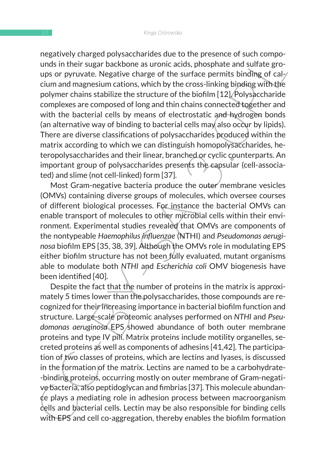negatively charged polysaccharides due to the presence of such compounds in their sugar backbone as uronic acids, phosphate and sulfate groups or pyruvate. Negative charge of the surface permits binding of calcium and magnesium cations, which by the cross-linking binding with the polymer chains stabilize the structure of the biofilm [12]. Polysaccharide complexes are composed of long and thin chains connected together and with the bacterial cells by means of electrostatic and hydrogen bonds (an alternative way of binding to bacterial cells may also occur by lipids). There are diverse classifications of polysaccharides produced within the matrix according to which we can distinguish homopolysaccharides, heteropolysaccharides and their linear, branched or cyclic counterparts. An important group of polysaccharides presents the capsular (cell-associated) and slime (not cell-linked) form [37].

Most Gram-negative bacteria produce the outer membrane vesicles (OMVs) containing diverse groups of molecules, which oversee courses of different biological processes. For instance the bacterial OMVs can enable transport of molecules to other microbial cells within their environment. Experimental studies revealed that OMVs are components of the nontypeable *Haemophilus influenzae* (NTHI) and *Pseudomonas aeruginosa* biofilm EPS [35, 38, 39]. Although the OMVs role in modulating EPS either biofilm structure has not been fully evaluated, mutant organisms able to modulate both *NTHI* and *Escherichia coli* OMV biogenesis have been identified [40].

inegatively riangle pubysactenines out to the presente of such complete<br>and sin their sigrar backbone as uronic acids, phosphate and sulfate gro-<br>ups or pyruvate. Negative charge of the surface permits binding of cal-<br>clum Despite the fact that the number of proteins in the matrix is approximately 5 times lower than the polysaccharides, those compounds are recognized for their increasing importance in bacterial biofilm function and structure. Large-scale proteomic analyses performed on *NTHI* and *Pseu*domonas aeruginosa EPS showed abundance of both outer membrane proteins and type IV pili. Matrix proteins include motility organelles, secreted proteins as well as components of adhesins [41,42]. The participation of two classes of proteins, which are lectins and lyases, is discussed in the formation of the matrix. Lectins are named to be a carbohydrate--binding proteins, occurring mostly on outer membrane of Gram-negative bacteria, also peptidoglycan and fimbrias [37]. This molecule abundance plays a mediating role in adhesion process between macroorganism cells and bacterial cells. Lectin may be also responsible for binding cells with EPS and cell co-aggregation, thereby enables the biofilm formation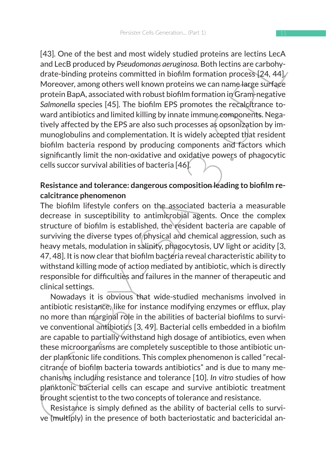HAD, One out the uses and minist wutery student proteins are rections and thee B produced by Pseudomonas aeruginos. Both lections are carbohydrate-binding proteins committed in biofilm formation process  $[24, 44]$ /moreove [43]. One of the best and most widely studied proteins are lectins LecA and LecB produced by *Pseudomonas aeruginosa*. Both lectins are carbohydrate-binding proteins committed in biofilm formation process [24, 44]. Moreover, among others well known proteins we can name large surface protein BapA, associated with robust biofilm formation in Gram-negative *Salmonella* species [45]. The biofilm EPS promotes the recalcitrance toward antibiotics and limited killing by innate immune components. Negatively affected by the EPS are also such processes as opsonization by immunoglobulins and complementation. It is widely accepted that resident biofilm bacteria respond by producing components and factors which significantly limit the non-oxidative and oxidative powers of phagocytic cells succor survival abilities of bacteria [46].

## **Resistance and tolerance: dangerous composition leading to biofilm recalcitrance phenomenon**

The biofilm lifestyle confers on the associated bacteria a measurable decrease in susceptibility to antimicrobial agents. Once the complex structure of biofilm is established, the resident bacteria are capable of surviving the diverse types of physical and chemical aggression, such as heavy metals, modulation in salinity, phagocytosis, UV light or acidity [3, 47, 48]. It is now clear that biofilm bacteria reveal characteristic ability to withstand killing mode of action mediated by antibiotic, which is directly responsible for difficulties and failures in the manner of therapeutic and clinical settings.

Nowadays it is obvious that wide-studied mechanisms involved in antibiotic resistance, like for instance modifying enzymes or efflux, play no more than marginal role in the abilities of bacterial biofilms to survive conventional antibiotics [3, 49]. Bacterial cells embedded in a biofilm are capable to partially withstand high dosage of antibiotics, even when these microorganisms are completely susceptible to those antibiotic under planktonic life conditions. This complex phenomenon is called "recalcitrance of biofilm bacteria towards antibiotics" and is due to many mechanisms including resistance and tolerance [10]. *In vitro* studies of how planktonic bacterial cells can escape and survive antibiotic treatment brought scientist to the two concepts of tolerance and resistance.

Resistance is simply defined as the ability of bacterial cells to survive (multiply) in the presence of both bacteriostatic and bactericidal an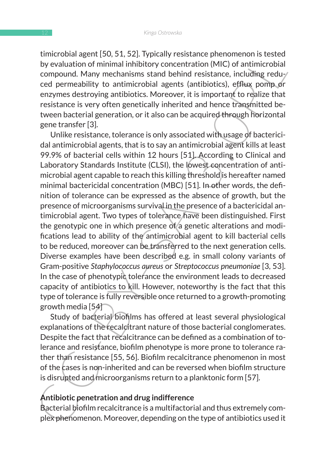timicrobial agent [50, 51, 52]. Typically resistance phenomenon is tested by evaluation of minimal inhibitory concentration (MIC) of antimicrobial compound. Many mechanisms stand behind resistance, including reduced permeability to antimicrobial agents (antibiotics), efflux pomp or enzymes destroying antibiotics. Moreover, it is important to realize that resistance is very often genetically inherited and hence transmitted between bacterial generation, or it also can be acquired through horizontal gene transfer [3].

Internous agent; [30, 34, 25]. Ypplaniy ressistance prenominos is setel<br>to evaluation of minimal inhibitory concentration (MIC) of antimicrobial<br>compound. Many mechanisms stand behind resistance, including reduy<br>of a perme Unlike resistance, tolerance is only associated with usage of bactericidal antimicrobial agents, that is to say an antimicrobial agent kills at least 99.9% of bacterial cells within 12 hours [51]. According to Clinical and Laboratory Standards Institute (CLSI), the lowest concentration of antimicrobial agent capable to reach this killing threshold is hereafter named minimal bactericidal concentration (MBC) [51]. In other words, the definition of tolerance can be expressed as the absence of growth, but the presence of microorganisms survival in the presence of a bactericidal antimicrobial agent. Two types of tolerance have been distinguished. First the genotypic one in which presence of a genetic alterations and modifications lead to ability of the antimicrobial agent to kill bacterial cells to be reduced, moreover can be transferred to the next generation cells. Diverse examples have been described e.g. in small colony variants of Gram-positive *Staphylococcus aureus* or *Streptococcus pneumoniae* [3, 53]. In the case of phenotypic tolerance the environment leads to decreased capacity of antibiotics to kill. However, noteworthy is the fact that this type of tolerance is fully reversible once returned to a growth-promoting growth media [54]

Study of bacterial biofilms has offered at least several physiological explanations of the recalcitrant nature of those bacterial conglomerates. Despite the fact that recalcitrance can be defined as a combination of tolerance and resistance, biofilm phenotype is more prone to tolerance rather than resistance [55, 56]. Biofilm recalcitrance phenomenon in most of the cases is non-inherited and can be reversed when biofilm structure is disrupted and microorganisms return to a planktonic form [57].

### **Antibiotic penetration and drug indifference**

Bacterial biofilm recalcitrance is a multifactorial and thus extremely complex phenomenon. Moreover, depending on the type of antibiotics used it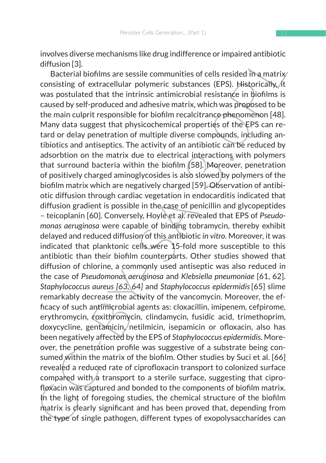involves diverse mechanisms like drug indifference or impaired antibiotic diffusion [3].

Involves unestained and and signification (after and a difference of implied antibotic difference difference difference difference difference (Fig. ) in activity consisting of extracted luminarity, whis posttulated that t Bacterial biofilms are sessile communities of cells resided in a matrix consisting of extracellular polymeric substances (EPS). Historically, it was postulated that the intrinsic antimicrobial resistance in biofilms is caused by self-produced and adhesive matrix, which was proposed to be the main culprit responsible for biofilm recalcitrance phenomenon [48]. Many data suggest that physicochemical properties of the EPS can retard or delay penetration of multiple diverse compounds, including antibiotics and antiseptics. The activity of an antibiotic can be reduced by adsorbtion on the matrix due to electrical interactions with polymers that surround bacteria within the biofilm [58]. Moreover, penetration of positively charged aminoglycosides is also slowed by polymers of the biofilm matrix which are negatively charged [59]. Observation of antibiotic diffusion through cardiac vegetation in endocarditis indicated that diffusion gradient is possible in the case of penicillin and glycopeptides – teicoplanin [60]. Conversely, Hoyle et al. revealed that EPS of *Pseudomonas aeruginosa* were capable of binding tobramycin, thereby exhibit delayed and reduced diffusion of this antibiotic *in vitro.* Moreover, it was indicated that planktonic cells were 15-fold more susceptible to this antibiotic than their biofilm counterparts. Other studies showed that diffusion of chlorine, a commonly used antiseptic was also reduced in the case of *Pseudomonas aeruginosa* and *Klebsiella pneumoniae* [61, 62]. *Staphylococcus aureus [63, 64]* and *Staphylococcus epidermidis*[65] slime remarkably decrease the activity of the vancomycin. Moreover, the efficacy of such antimicrobial agents as: cloxacillin, imipenem, cefpirome, erythromycin, roxithromycin, clindamycin, fusidic acid, trimethoprim, doxycycline, gentamicin, netilmicin, isepamicin or ofloxacin, also has been negatively affected by the EPS of *Staphylococcus epidermidis*. Moreover, the penetration profile was suggestive of a substrate being consumed within the matrix of the biofilm. Other studies by Suci et al. [66] revealed a reduced rate of ciprofloxacin transport to colonized surface compared with a transport to a sterile surface, suggesting that ciprofloxacin was captured and bonded to the components of biofilm matrix. In the light of foregoing studies, the chemical structure of the biofilm matrix is clearly significant and has been proved that, depending from the type of single pathogen, different types of exopolysaccharides can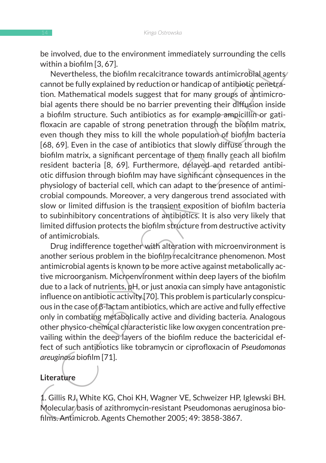be involved, due to the environment immediately surrounding the cells within a biofilm [3, 67].

be involved to the environment immediately surrouning the cension within a biohlim [3, 67].<br>
Wevertheless, the biofilm recalcitrance towards antimicrobial agenty<br>
Nevertheless, the biofilm recalcitron or handcon of antihip Nevertheless, the biofilm recalcitrance towards antimicrobial agents cannot be fully explained by reduction or handicap of antibiotic penetration. Mathematical models suggest that for many groups of antimicrobial agents there should be no barrier preventing their diffusion inside a biofilm structure. Such antibiotics as for example ampicillin or gatifloxacin are capable of strong penetration through the biofilm matrix, even though they miss to kill the whole population of biofilm bacteria [68, 69]. Even in the case of antibiotics that slowly diffuse through the biofilm matrix, a significant percentage of them finally reach all biofilm resident bacteria [8, 69]. Furthermore, delayed and retarded antibiotic diffusion through biofilm may have significant consequences in the physiology of bacterial cell, which can adapt to the presence of antimicrobial compounds. Moreover, a very dangerous trend associated with slow or limited diffusion is the transient exposition of biofilm bacteria to subinhibitory concentrations of antibiotics. It is also very likely that limited diffusion protects the biofilm structure from destructive activity of antimicrobials.

Drug indifference together with alteration with microenvironment is another serious problem in the biofilm recalcitrance phenomenon. Most antimicrobial agents is known to be more active against metabolically active microorganism. Microenvironment within deep layers of the biofilm due to a lack of nutrients, pH, or just anoxia can simply have antagonistic influence on antibiotic activity [70]. This problem is particularly conspicuous in the case of β-lactam antibiotics, which are active and fully effective only in combating metabolically active and dividing bacteria. Analogous other physico-chemical characteristic like low oxygen concentration prevailing within the deep layers of the biofilm reduce the bactericidal effect of such antibiotics like tobramycin or ciprofloxacin of *Pseudomonas areuginosa* biofilm [71].

#### **Literature**

1. Gillis RJ, White KG, Choi KH, Wagner VE, Schweizer HP, Iglewski BH. Molecular basis of azithromycin-resistant Pseudomonas aeruginosa biofilms. Antimicrob. Agents Chemother 2005; 49: 3858-3867.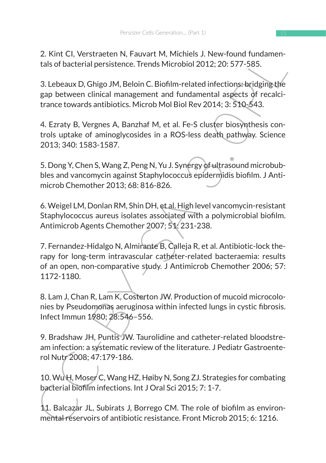2. Kint CI, Verstraeten N, Fauvart M, Michiels J. New-found fundamentals of bacterial persistence. Trends Microbiol 2012; 20: 577-585.

3. Lebeaux D, Ghigo JM, Beloin C. Biofilm-related infections: bridging the gap between clinical management and fundamental aspects of recalcitrance towards antibiotics. Microb Mol Biol Rev 2014; 3: 510-543.

4. Ezraty B, Vergnes A, Banzhaf M, et al. Fe-S cluster biosynthesis controls uptake of aminoglycosides in a ROS-less death pathway. Science 2013; 340: 1583-1587.

5. Dong Y, Chen S, Wang Z, Peng N, Yu J. Synergy of ultrasound microbubbles and vancomycin against Staphylococcus epidermidis biofilm. J Antimicrob Chemother 2013; 68: 816-826.

6. Weigel LM, Donlan RM, Shin DH, et al. High level vancomycin-resistant Staphylococcus aureus isolates associated with a polymicrobial biofilm. Antimicrob Agents Chemother 2007; 51: 231-238.

2. Knitc C<sub>1</sub>, verstratentin, rausvart vin, whichness J. New-Foodmation<br>tals of bacterial persistence. Trends Microbiol 2012; 20: 577-585.<br>
3. Lebeaux D, Ghigo JM, Beloin C. Biofilm-related infections-bridging the<br>
gap bet 7. Fernandez-Hidalgo N, Almirante B, Calleja R, et al. Antibiotic-lock therapy for long-term intravascular catheter-related bacteraemia: results of an open, non-comparative study. J Antimicrob Chemother 2006; 57: 1172-1180.

8. Lam J, Chan R, Lam K, Costerton JW. Production of mucoid microcolonies by Pseudomonas aeruginosa within infected lungs in cystic fibrosis. Infect Immun 1980; 28:546–556.

9. Bradshaw JH, Puntis JW. Taurolidine and catheter-related bloodstream infection: a systematic review of the literature. J Pediatr Gastroenterol Nutr 2008; 47:179-186.

10. Wu H, Moser C, Wang HZ, Høiby N, Song ZJ. Strategies for combating bacterial biofilm infections. Int J Oral Sci 2015; 7: 1-7.

11. Balcazar JL, Subirats J, Borrego CM. The role of biofilm as environmental reservoirs of antibiotic resistance. Front Microb 2015; 6: 1216.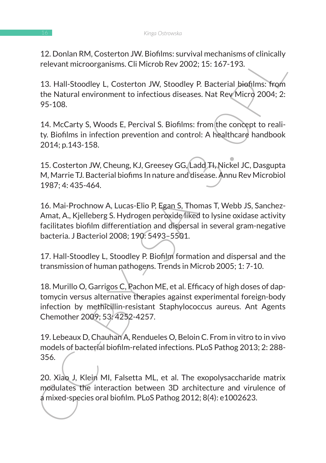12. Donlan RM, Costerton JW. Biofilms: survival mechanisms of clinically relevant microorganisms. Cli Microb Rev 2002; 15: 167-193.

13. Hall-Stoodley L, Costerton JW, Stoodley P. Bacterial biofilms: from the Natural environment to infectious diseases. Nat Rev Micro 2004; 2: 95-108.

14. McCarty S, Woods E, Percival S. Biofilms: from the concept to reality. Biofilms in infection prevention and control: A healthcare handbook 2014; p.143-158.

15. Costerton JW, Cheung, KJ, Greesey GG, Ladd TI, Nickel JC, Dasgupta M, Marrie TJ. Bacterial biofims In nature and disease. Annu Rev Microbiol 1987; 4: 435-464.

12. Dolnar KW, Coster for Nichims. Survive notes and the relations of the relation of the Natural environment to infection Rev 2002; 15: 167-193.<br>
13. Hall-Stoodley L, Costerton JW, Stoodley P. Bacterial biofilms: from<br>
th 16. Mai-Prochnow A, Lucas-Elio P, Egan S, Thomas T, Webb JS, Sanchez-Amat, A., Kjelleberg S. Hydrogen peroxide liked to lysine oxidase activity facilitates biofilm differentiation and dispersal in several gram-negative bacteria. J Bacteriol 2008; 190: 5493–5501.

17. Hall-Stoodley L, Stoodley P. Biofilm formation and dispersal and the transmission of human pathogens. Trends in Microb 2005; 1: 7-10.

18. Murillo O, Garrigos C, Pachon ME, et al. Efficacy of high doses of daptomycin versus alternative therapies against experimental foreign-body infection by methicillin-resistant Staphylococcus aureus. Ant Agents Chemother 2009; 53: 4252-4257.

19. Lebeaux D, Chauhan A, Rendueles O, Beloin C. From in vitro to in vivo models of bacterial biofilm-related infections. PLoS Pathog 2013; 2: 288- 356.

20. Xiao J, Klein MI, Falsetta ML, et al. The exopolysaccharide matrix modulates the interaction between 3D architecture and virulence of a mixed-species oral biofilm. PLoS Pathog 2012; 8(4): e1002623.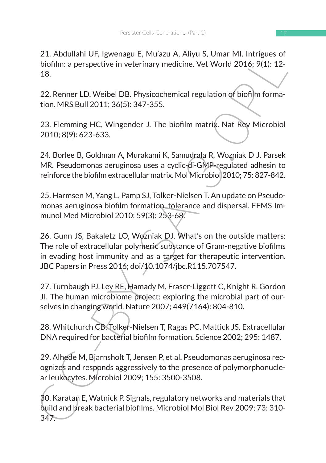21. Abdullahi UF, Igwenagu E, Mu'azu A, Aliyu S, Umar MI. Intrigues of biofilm: a perspective in veterinary medicine. Vet World 2016; 9(1): 12- 18.

22. Renner LD, Weibel DB. Physicochemical regulation of biofilm formation. MRS Bull 2011; 36(5): 347-355.

23. Flemming HC, Wingender J. The biofilm matrix. Nat Rev Microbiol 2010; 8(9): 623-633.

24. Borlee B, Goldman A, Murakami K, Samudrala R, Wozniak D J, Parsek MR. Pseudomonas aeruginosa uses a cyclic-di-GMP-regulated adhesin to reinforce the biofilm extracellular matrix. Mol Microbiol 2010; 75: 827-842.

25. Harmsen M, Yang L, Pamp SJ, Tolker-Nielsen T. An update on Pseudomonas aeruginosa biofilm formation, tolerance and dispersal. FEMS Immunol Med Microbiol 2010; 59(3): 253-68.

2.1. Audulain Urr, ngwelragu c, ivilizzu A, Aliyyi 3, Ulmar Virr, iningues or<br>
biofilm: a perspective in veterinary medicine. Vet World 2016; 9(1): 12-<br>
18.<br>
22. Renner LD, Weibel DB. Physicochemical regulation of biofilm 26. Gunn JS, Bakaletz LO, Wozniak DJ. What's on the outside matters: The role of extracellular polymeric substance of Gram-negative biofilms in evading host immunity and as a target for therapeutic intervention. JBC Papers in Press 2016; doi/10.1074/jbc.R115.707547.

27. Turnbaugh PJ, Ley RE, Hamady M, Fraser-Liggett C, Knight R, Gordon JI. The human microbiome project: exploring the microbial part of ourselves in changing world. Nature 2007; 449(7164): 804-810.

28. Whitchurch CB, Tolker-Nielsen T, Ragas PC, Mattick JS. Extracellular DNA required for bacterial biofilm formation. Science 2002; 295: 1487.

29. Alhede M, Bjarnsholt T, Jensen P, et al. Pseudomonas aeruginosa recognizes and responds aggressively to the presence of polymorphonuclear leukocytes. Microbiol 2009; 155: 3500-3508.

30. Karatan E, Watnick P. Signals, regulatory networks and materials that build and break bacterial biofilms. Microbiol Mol Biol Rev 2009; 73: 310- 347.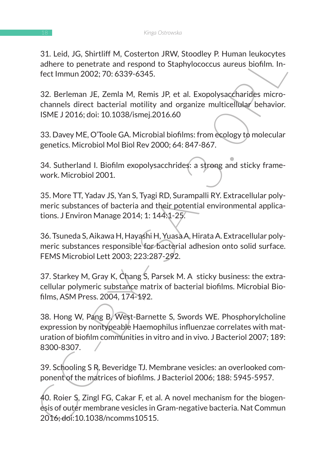31. Leid, JG, Shirtliff M, Costerton JRW, Stoodley P. Human leukocytes adhere to penetrate and respond to Staphylococcus aureus biofilm. Infect Immun 2002; 70: 6339-6345.

32. Berleman JE, Zemla M, Remis JP, et al. Exopolysaccharides microchannels direct bacterial motility and organize multicellular behavior. ISME J 2016; doi: 10.1038/ismej.2016.60

33. Davey ME, O'Toole GA. Microbial biofilms: from ecology to molecular genetics. Microbiol Mol Biol Rev 2000; 64: 847-867.

34. Sutherland I. Biofilm exopolysacchrides: a strong and sticky framework. Microbiol 2001.

35. More TT, Yadav JS, Yan S, Tyagi RD, Surampalli RY. Extracellular polymeric substances of bacteria and their potential environmental applications. J Environ Manage 2014; 1: 144:1-25.

36. Tsuneda S, Aikawa H, Hayashi H, Yuasa A, Hirata A. Extracellular polymeric substances responsible for bacterial adhesion onto solid surface. FEMS Microbiol Lett 2003; 223:287-292.

37. Starkey M, Gray K, Chang S, Parsek M. A sticky business: the extracellular polymeric substance matrix of bacterial biofilms. Microbial Biofilms, ASM Press. 2004, 174-192.

3.1. Leu, Justinia invi, Costericius Two, Suoduely P. Huniani eurato, vestinani euration invirsa aldere to penetrate and respond to Staphylococcus aureus biofilm. In-<br>feet Immun 2002; 70: 6339-6345.<br>
32. Berleman JE, Zemla 38. Hong W, Pang B, West-Barnette S, Swords WE. Phosphorylcholine expression by nontypeable Haemophilus influenzae correlates with maturation of biofilm communities in vitro and in vivo. J Bacteriol 2007; 189: 8300-8307.

39. Schooling S R, Beveridge TJ. Membrane vesicles: an overlooked component of the matrices of biofilms. J Bacteriol 2006; 188: 5945-5957.

40. Roier S, Zingl FG, Cakar F, et al. A novel mechanism for the biogenesis of outer membrane vesicles in Gram-negative bacteria. Nat Commun 2016; doi:10.1038/ncomms10515.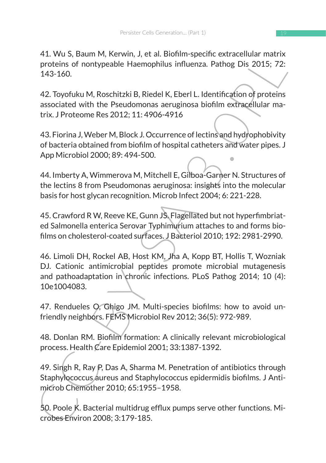41. Wu S, Baum M, Kerwin, J, et al. Biofilm-specific extracellular matrix proteins of nontypeable Haemophilus influenza. Pathog Dis 2015; 72: 143-160.

42. Toyofuku M, Roschitzki B, Riedel K, Eberl L. Identification of proteins associated with the Pseudomonas aeruginosa biofilm extracellular matrix. J Proteome Res 2012; 11: 4906-4916

43. Fiorina J, Weber M, Block J. Occurrence of lectins and hydrophobivity of bacteria obtained from biofilm of hospital catheters and water pipes. J App Microbiol 2000; 89: 494-500.

44. Imberty A, Wimmerova M, Mitchell E, Gilboa-Garner N. Structures of the lectins 8 from Pseudomonas aeruginosa: insights into the molecular basis for host glycan recognition. Microb Infect 2004; 6: 221-228.

45. Crawford R W, Reeve KE, Gunn JS. Flagellated but not hyperfimbriated Salmonella enterica Serovar Typhimurium attaches to and forms biofilms on cholesterol-coated surfaces. J Bacteriol 2010; 192: 2981-2990.

41. wus. Sadurn W, New HI, a, et al. Bountin-species and State Proteins of nontypeable Heemophilus influenza. Pathog Dis 2015; 72:<br>
143-160.<br>
42. Toyofuku M, Roschitzki B, Riedel K, Eberl L. Identification of proteins<br>
ass 46. Limoli DH, Rockel AB, Host KM, Jha A, Kopp BT, Hollis T, Wozniak DJ. Cationic antimicrobial peptides promote microbial mutagenesis and pathoadaptation in chronic infections. PLoS Pathog 2014; 10 (4): 10e1004083.

47. Rendueles O, Ghigo JM. Multi-species biofilms: how to avoid unfriendly neighbors. FEMS Microbiol Rev 2012; 36(5): 972-989.

48. Donlan RM. Biofilm formation: A clinically relevant microbiological process. Health Care Epidemiol 2001; 33:1387-1392.

49. Singh R, Ray P, Das A, Sharma M. Penetration of antibiotics through Staphylococcus aureus and Staphylococcus epidermidis biofilms. J Antimicrob Chemother 2010; 65:1955–1958.

50. Poole K. Bacterial multidrug efflux pumps serve other functions. Microbes Environ 2008; 3:179-185.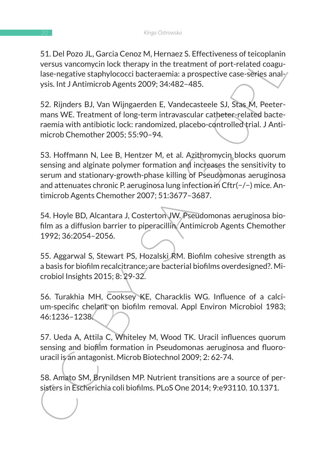51. Del Pozo JL, Garcia Cenoz M, Hernaez S. Effectiveness of teicoplanin versus vancomycin lock therapy in the treatment of port-related coagulase-negative staphylococci bacteraemia: a prospective case-series analysis. Int J Antimicrob Agents 2009; 34:482–485.

52. Rijnders BJ, Van Wijngaerden E, Vandecasteele SJ, Stas M, Peetermans WE. Treatment of long-term intravascular catheter-related bacteraemia with antibiotic lock: randomized, placebo-controlled trial. J Antimicrob Chemother 2005; 55:90–94.

3. Let Prozo Jr., Jardu Centoz M, Herniez S. Criettureless of economismic versus vancomyrin lock therapy in the treatment of port-related coagu-<br>lase-negative staphylococci bacteraemia: a prospective case-series anal-<br>yisi 53. Hoffmann N, Lee B, Hentzer M, et al. Azithromycin blocks quorum sensing and alginate polymer formation and increases the sensitivity to serum and stationary-growth-phase killing of Pseudomonas aeruginosa and attenuates chronic P. aeruginosa lung infection in Cftr(−/−) mice. Antimicrob Agents Chemother 2007; 51:3677–3687.

54. Hoyle BD, Alcantara J, Costerton JW. Pseudomonas aeruginosa biofilm as a diffusion barrier to piperacillin. Antimicrob Agents Chemother 1992; 36:2054–2056.

55. Aggarwal S, Stewart PS, Hozalski RM. Biofilm cohesive strength as a basis for biofilm recalcitrance; are bacterial biofilms overdesigned?. Microbiol Insights 2015; 8: 29-32.

56. Turakhia MH, Cooksey KE, Characklis WG. Influence of a calcium-specific chelant on biofilm removal. Appl Environ Microbiol 1983; 46:1236–1238.

57. Ueda A, Attila C, Whiteley M, Wood TK. Uracil influences quorum sensing and biofilm formation in Pseudomonas aeruginosa and fluorouracil is an antagonist. Microb Biotechnol 2009; 2: 62-74.

58. Amato SM, Brynildsen MP. Nutrient transitions are a source of persisters in Escherichia coli biofilms. PLoS One 2014; 9:e93110. 10.1371.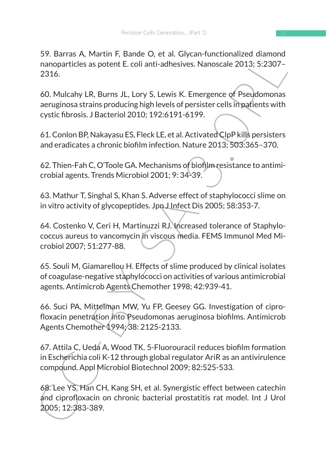59. Barras A, Martin F, Bande O, et al. Glycan-functionalized diamond nanoparticles as potent E. coli anti-adhesives. Nanoscale 2013; 5:2307– 2316.

60. Mulcahy LR, Burns JL, Lory S, Lewis K. Emergence of Pseudomonas aeruginosa strains producing high levels of persister cells in patients with cystic fibrosis. J Bacteriol 2010; 192:6191-6199.

61. Conlon BP, Nakayasu ES, Fleck LE, et al. Activated ClpP kills persisters and eradicates a chronic biofilm infection. Nature 2013; 503:365–370.

62. Thien-Fah C, O'Toole GA. Mechanisms of biofilm resistance to antimicrobial agents. Trends Microbiol 2001; 9: 34-39.

63. Mathur T, Singhal S, Khan S. Adverse effect of staphylococci slime on in vitro activity of glycopeptides. Jpn J Infect Dis 2005; 58:353-7.

64. Costenko V, Ceri H, Martinuzzi RJ. Increased tolerance of Staphylococcus aureus to vancomycin in viscous media. FEMS Immunol Med Microbiol 2007; 51:277-88.

65. Souli M, Giamarellou H. Effects of slime produced by clinical isolates of coagulase-negative staphylococci on activities of various antimicrobial agents. Antimicrob Agents Chemother 1998; 42:939-41.

66. Suci PA, Mittelman MW, Yu FP, Geesey GG. Investigation of ciprofloxacin penetration into Pseudomonas aeruginosa biofilms. Antimicrob Agents Chemother 1994; 38: 2125-2133.

37. Baltas A, Warturr, Baltac O, et al. Glycali-Hucharakee diamon<br>napparticles as potent E. Coli anti-adhesives. Nanoscale 2013; 5:2307-<br>2316.<br>60. Mulcahy LR, Burns JL, Lory S, Lewis K. Emergence of Pseudomonas<br>areuginos a 67. Attila C, Ueda A, Wood TK. 5-Fluorouracil reduces biofilm formation in Escherichia coli K-12 through global regulator AriR as an antivirulence compound. Appl Microbiol Biotechnol 2009; 82:525-533.

68. Lee YS, Han CH, Kang SH, et al. Synergistic effect between catechin and ciprofloxacin on chronic bacterial prostatitis rat model. Int J Urol 2005; 12:383-389.